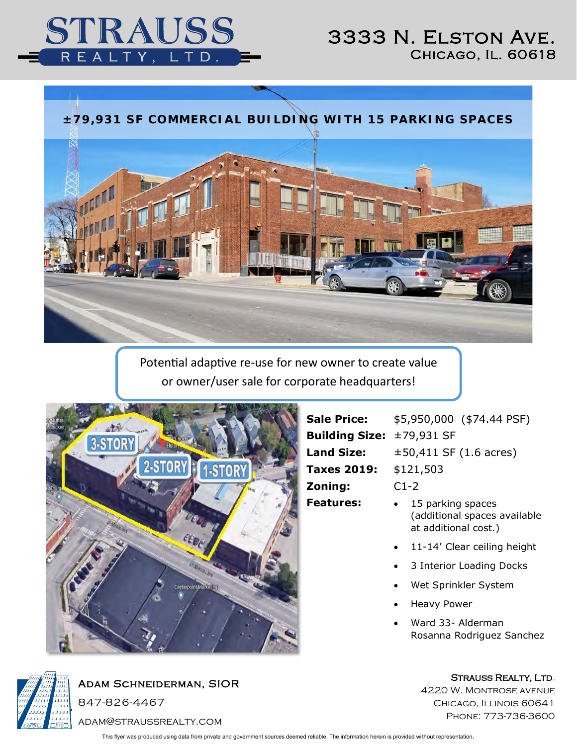

## 3333 N. Elston Ave. Chicago, Il. 60618



Potential adaptive re-use for new owner to create value or owner/user sale for corporate headquarters!



**Sale Price:** \$5,950,000 (\$74.44 PSF) **Building Size:** ±79,931 SF **Land Size:**  $\pm 50,411$  SF (1.6 acres) **Taxes 2019:** \$121,503 **Zoning:** C1-2 **Features:** • 15 parking spaces

- (additional spaces available at additional cost.)
- 11-14' Clear ceiling height
- 3 Interior Loading Docks
- Wet Sprinkler System
- Heavy Power
- Ward 33- Alderman Rosanna Rodriguez Sanchez



Adam Schneiderman, SIOR 847-826-4467

adam@straussrealty.com

This flyer was produced using data from private and government sources deemed reliable. The information herein is provided without representation.

STRAUSS REALTY, LTD.

4220 W. Montrose avenue Chicago, Illinois 60641 Phone: 773-736-3600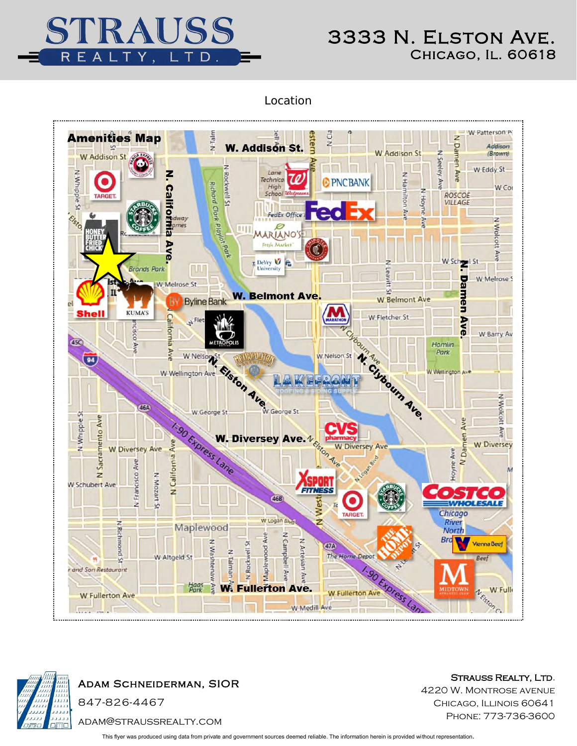

## 3333 N. Elston Ave. Chicago, Il. 60618

Location





Adam Schneiderman, SIOR

847-826-4467

STRAUSS REALTY, LTD. 4220 W. Montrose avenue CHICAGO, ILLINOIS 60641 Phone: 773-736-3600

adam@straussrealty.com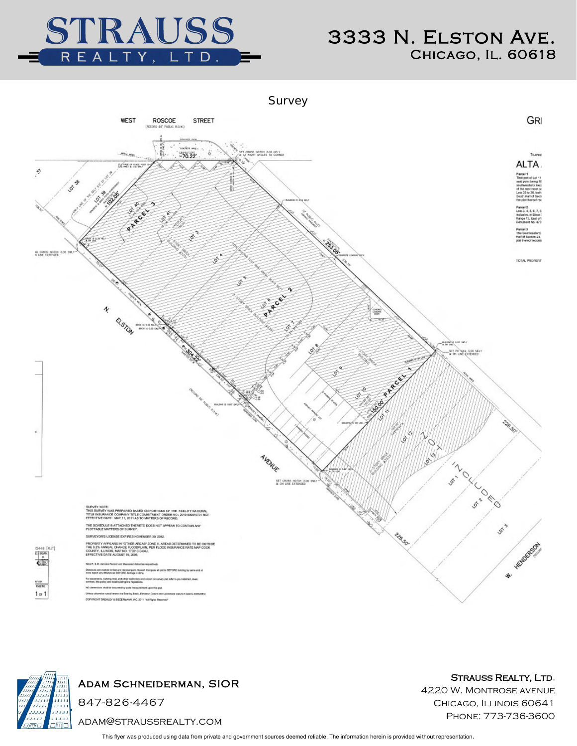

Survey





Adam Schneiderman, SIOR

847-826-4467

adam@straussrealty.com

STRAUSS REALTY, LTD. 4220 W. Montrose avenue CHICAGO, ILLINOIS 60641

Phone: 773-736-3600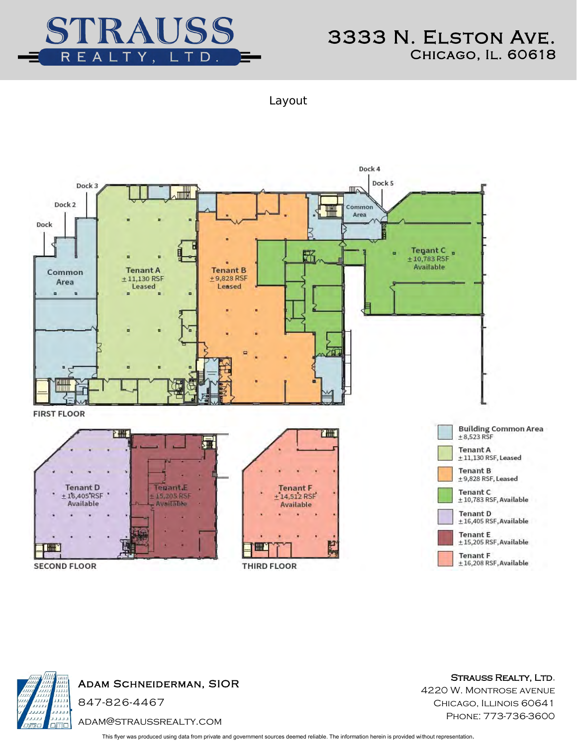

Layout





STRAUSS REALTY, LTD.

4220 W. Montrose avenue CHICAGO, ILLINOIS 60641 Phone: 773-736-3600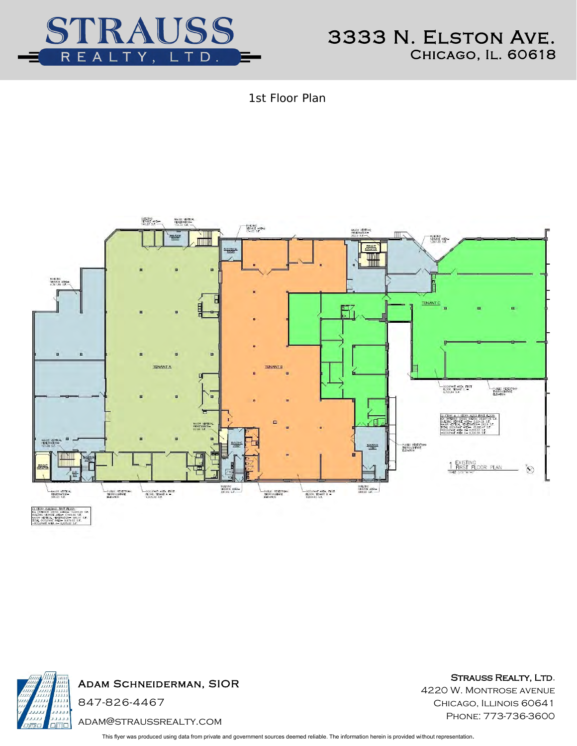

1st Floor Plan





Adam Schneiderman, SIOR

adam@straussrealty.com

STRAUSS REALTY, LTD. 4220 W. Montrose avenue CHICAGO, ILLINOIS 60641 Phone: 773-736-3600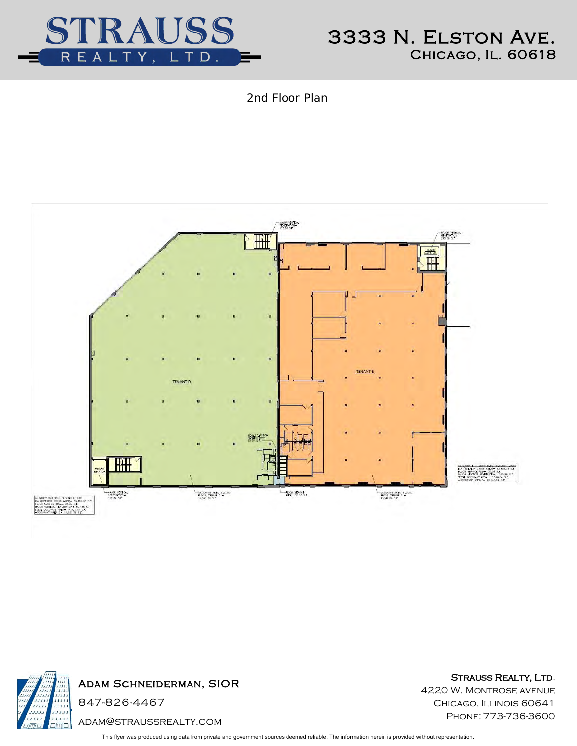

2nd Floor Plan





Adam Schneiderman, SIOR

adam@straussrealty.com

STRAUSS REALTY, LTD. 4220 W. Montrose avenue CHICAGO, ILLINOIS 60641 Phone: 773-736-3600